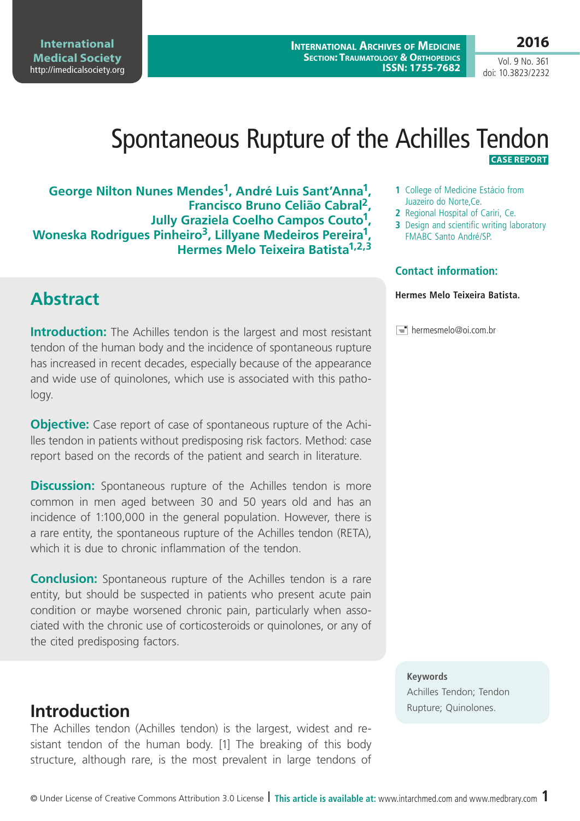### **Medical Society**  <http://imedicalsociety.org>

**International** 

**George Nilton Nunes Mendes1, André Luis Sant'Anna1, Francisco Bruno Celião Cabral2, Jully Graziela Coelho Campos Couto1, Woneska Rodrigues Pinheiro3, Lillyane Medeiros Pereira1, Hermes Melo Teixeira Batista1,2,3**

# **Abstract**

**Introduction:** The Achilles tendon is the largest and most resistant tendon of the human body and the incidence of spontaneous rupture has increased in recent decades, especially because of the appearance and wide use of quinolones, which use is associated with this pathology.

**Objective:** Case report of case of spontaneous rupture of the Achilles tendon in patients without predisposing risk factors. Method: case report based on the records of the patient and search in literature.

**Discussion:** Spontaneous rupture of the Achilles tendon is more common in men aged between 30 and 50 years old and has an incidence of 1:100,000 in the general population. However, there is a rare entity, the spontaneous rupture of the Achilles tendon (RETA), which it is due to chronic inflammation of the tendon.

**Conclusion:** Spontaneous rupture of the Achilles tendon is a rare entity, but should be suspected in patients who present acute pain condition or maybe worsened chronic pain, particularly when associated with the chronic use of corticosteroids or quinolones, or any of the cited predisposing factors.

## **Introduction Introduction**

The Achilles tendon (Achilles tendon) is the largest, widest and resistant tendon of the human body. [1] The breaking of this body structure, although rare, is the most prevalent in large tendons of

#### **1** College of Medicine Estácio from Juazeiro do Norte,Ce.

- **2** Regional Hospital of Cariri, Ce.
- **3** Design and scientific writing laboratory FMABC Santo André/SP.

### **Contact information:**

### **Hermes Melo Teixeira Batista.**

#### $\equiv$  hermesmelo@oi.com.br

### **Keywords**

Achilles Tendon; Tendon

### **2016**

Vol. 9 No. 361 doi: 10.3823/2232

 **CASE REPORT**

#### **International Archives of Medicine SECTION: TRAUMATOLOGY & ORTHOPEDICS ISSN: 1755-7682**

Spontaneous Rupture of the Achilles Tendon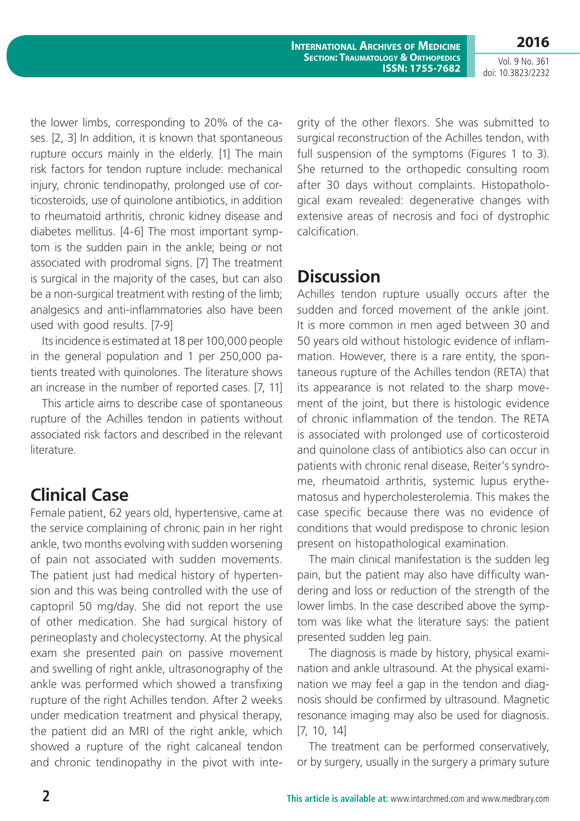**International Archives of Medicine SECTION: TRAUMATOLOGY & ORTHOPEDICS ISSN: 1755-7682**

Vol. 9 No. 361 doi: 10.3823/2232

**2016**

the lower limbs, corresponding to 20% of the cases. [2, 3] In addition, it is known that spontaneous rupture occurs mainly in the elderly. [1] The main risk factors for tendon rupture include: mechanical injury, chronic tendinopathy, prolonged use of corticosteroids, use of quinolone antibiotics, in addition to rheumatoid arthritis, chronic kidney disease and diabetes mellitus. [4-6] The most important symptom is the sudden pain in the ankle; being or not associated with prodromal signs. [7] The treatment is surgical in the majority of the cases, but can also be a non-surgical treatment with resting of the limb; analgesics and anti-inflammatories also have been used with good results. [7-9]

Its incidence is estimated at 18 per 100,000 people in the general population and 1 per 250,000 patients treated with quinolones. The literature shows an increase in the number of reported cases. [7, 11]

This article aims to describe case of spontaneous rupture of the Achilles tendon in patients without associated risk factors and described in the relevant literature.

## **Clinical Case**

Female patient, 62 years old, hypertensive, came at the service complaining of chronic pain in her right ankle, two months evolving with sudden worsening of pain not associated with sudden movements. The patient just had medical history of hypertension and this was being controlled with the use of captopril 50 mg/day. She did not report the use of other medication. She had surgical history of perineoplasty and cholecystectomy. At the physical exam she presented pain on passive movement and swelling of right ankle, ultrasonography of the ankle was performed which showed a transfixing rupture of the right Achilles tendon. After 2 weeks under medication treatment and physical therapy, the patient did an MRI of the right ankle, which showed a rupture of the right calcaneal tendon and chronic tendinopathy in the pivot with integrity of the other flexors. She was submitted to surgical reconstruction of the Achilles tendon, with full suspension of the symptoms (Figures 1 to 3). She returned to the orthopedic consulting room after 30 days without complaints. Histopathological exam revealed: degenerative changes with extensive areas of necrosis and foci of dystrophic calcification.

# **Discussion**

Achilles tendon rupture usually occurs after the sudden and forced movement of the ankle joint. It is more common in men aged between 30 and 50 years old without histologic evidence of inflammation. However, there is a rare entity, the spontaneous rupture of the Achilles tendon (RETA) that its appearance is not related to the sharp movement of the joint, but there is histologic evidence of chronic inflammation of the tendon. The RETA is associated with prolonged use of corticosteroid and quinolone class of antibiotics also can occur in patients with chronic renal disease, Reiter's syndrome, rheumatoid arthritis, systemic lupus erythematosus and hypercholesterolemia. This makes the case specific because there was no evidence of conditions that would predispose to chronic lesion present on histopathological examination.

The main clinical manifestation is the sudden leg pain, but the patient may also have difficulty wandering and loss or reduction of the strength of the lower limbs. In the case described above the symptom was like what the literature says: the patient presented sudden leg pain.

The diagnosis is made by history, physical examination and ankle ultrasound. At the physical examination we may feel a gap in the tendon and diagnosis should be confirmed by ultrasound. Magnetic resonance imaging may also be used for diagnosis. [7, 10, 14]

The treatment can be performed conservatively, or by surgery, usually in the surgery a primary suture